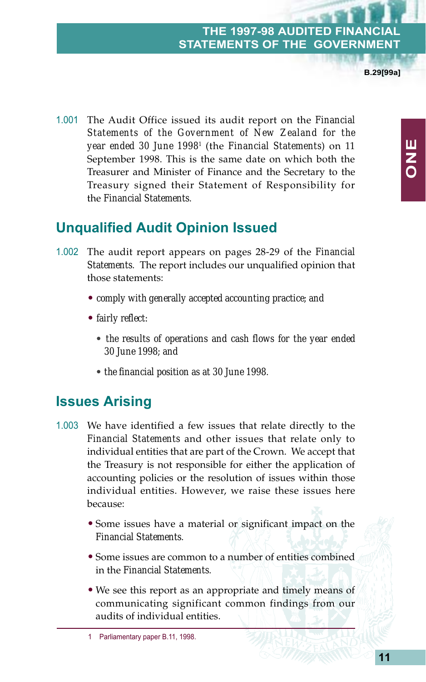**B.29[99a]**

1.001 The Audit Office issued its audit report on the *Financial Statements of the Government of New Zealand for the year ended 30 June 19981* (the *Financial Statements*) on 11 September 1998. This is the same date on which both the Treasurer and Minister of Finance and the Secretary to the Treasury signed their Statement of Responsibility for the *Financial Statements*.

# **Unqualified Audit Opinion Issued**

- 1.002 The audit report appears on pages 28-29 of the *Financial Statements*. The report includes our unqualified opinion that those statements:
	- *comply with generally accepted accounting practice; and*
	- *fairly reflect:*
		- *the results of operations and cash flows for the year ended 30 June 1998; and*
		- *the financial position as at 30 June 1998*.

## **Issues Arising**

- 1.003 We have identified a few issues that relate directly to the *Financial Statements* and other issues that relate only to individual entities that are part of the Crown. We accept that the Treasury is not responsible for either the application of accounting policies or the resolution of issues within those individual entities. However, we raise these issues here because:
	- Some issues have a material or significant impact on the *Financial Statements*.
	- Some issues are common to a number of entities combined in the *Financial Statements*.
	- We see this report as an appropriate and timely means of communicating significant common findings from our audits of individual entities.

**ONE**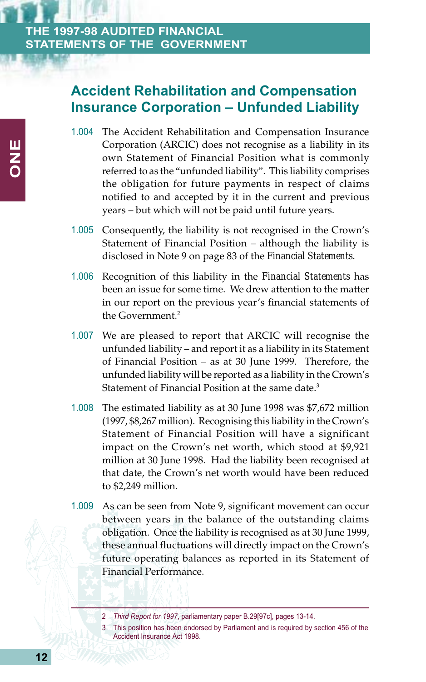## **Accident Rehabilitation and Compensation Insurance Corporation – Unfunded Liability**

- 1.004 The Accident Rehabilitation and Compensation Insurance Corporation (ARCIC) does not recognise as a liability in its own Statement of Financial Position what is commonly referred to as the "unfunded liability". This liability comprises the obligation for future payments in respect of claims notified to and accepted by it in the current and previous years – but which will not be paid until future years.
- 1.005 Consequently, the liability is not recognised in the Crown's Statement of Financial Position – although the liability is disclosed in Note 9 on page 83 of the *Financial Statements*.
- 1.006 Recognition of this liability in the *Financial Statements* has been an issue for some time. We drew attention to the matter in our report on the previous year's financial statements of the Government.<sup>2</sup>
- 1.007 We are pleased to report that ARCIC will recognise the unfunded liability – and report it as a liability in its Statement of Financial Position – as at 30 June 1999. Therefore, the unfunded liability will be reported as a liability in the Crown's Statement of Financial Position at the same date.<sup>3</sup>
- 1.008 The estimated liability as at 30 June 1998 was \$7,672 million (1997, \$8,267 million). Recognising this liability in the Crown's Statement of Financial Position will have a significant impact on the Crown's net worth, which stood at \$9,921 million at 30 June 1998. Had the liability been recognised at that date, the Crown's net worth would have been reduced to \$2,249 million.
- 1.009 As can be seen from Note 9, significant movement can occur between years in the balance of the outstanding claims obligation. Once the liability is recognised as at 30 June 1999, these annual fluctuations will directly impact on the Crown's future operating balances as reported in its Statement of Financial Performance.

This position has been endorsed by Parliament and is required by section 456 of the Accident Insurance Act 1998.

<sup>2</sup> *Third Report for 1997*, parliamentary paper B.29[97c], pages 13-14.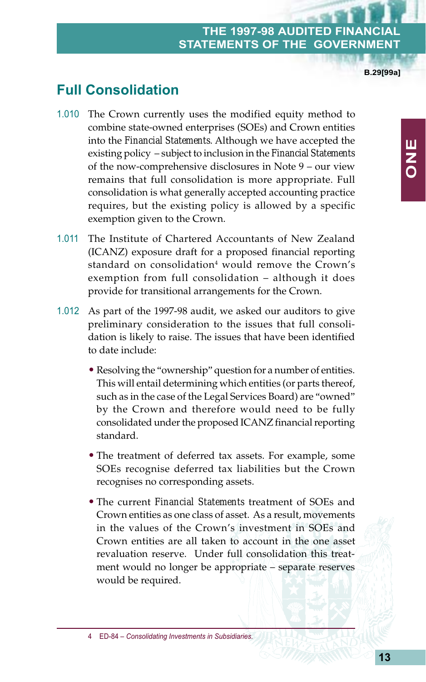**B.29[99a]**

**ONE**

# **Full Consolidation**

- 1.010 The Crown currently uses the modified equity method to combine state-owned enterprises (SOEs) and Crown entities into the *Financial Statements*. Although we have accepted the existing policy – subject to inclusion in the *Financial Statements* of the now-comprehensive disclosures in Note 9 – our view remains that full consolidation is more appropriate. Full consolidation is what generally accepted accounting practice requires, but the existing policy is allowed by a specific exemption given to the Crown.
- 1.011 The Institute of Chartered Accountants of New Zealand (ICANZ) exposure draft for a proposed financial reporting standard on consolidation<sup>4</sup> would remove the Crown's exemption from full consolidation – although it does provide for transitional arrangements for the Crown.
- 1.012 As part of the 1997-98 audit, we asked our auditors to give preliminary consideration to the issues that full consolidation is likely to raise. The issues that have been identified to date include:
	- Resolving the "ownership" question for a number of entities. This will entail determining which entities (or parts thereof, such as in the case of the Legal Services Board) are "owned" by the Crown and therefore would need to be fully consolidated under the proposed ICANZ financial reporting standard.
	- The treatment of deferred tax assets. For example, some SOEs recognise deferred tax liabilities but the Crown recognises no corresponding assets.
	- The current *Financial Statements* treatment of SOEs and Crown entities as one class of asset. As a result, movements in the values of the Crown's investment in SOEs and Crown entities are all taken to account in the one asset revaluation reserve. Under full consolidation this treatment would no longer be appropriate – separate reserves would be required.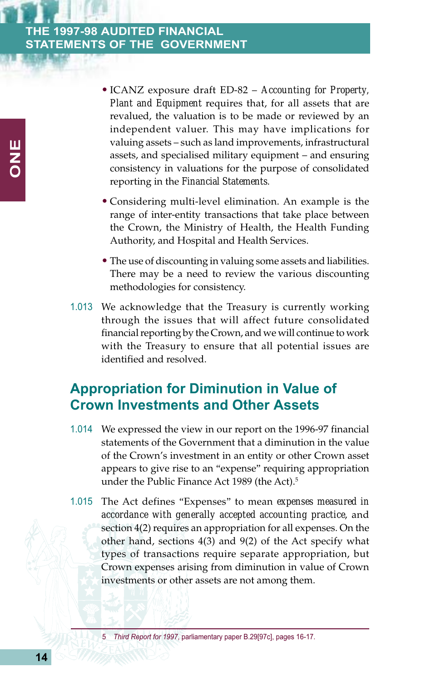- ICANZ exposure draft ED-82 *Accounting for Property, Plant and Equipment* requires that, for all assets that are revalued, the valuation is to be made or reviewed by an independent valuer. This may have implications for valuing assets – such as land improvements, infrastructural assets, and specialised military equipment – and ensuring consistency in valuations for the purpose of consolidated reporting in the *Financial Statements*.
- Considering multi-level elimination. An example is the range of inter-entity transactions that take place between the Crown, the Ministry of Health, the Health Funding Authority, and Hospital and Health Services.
- The use of discounting in valuing some assets and liabilities. There may be a need to review the various discounting methodologies for consistency.
- 1.013 We acknowledge that the Treasury is currently working through the issues that will affect future consolidated financial reporting by the Crown, and we will continue to work with the Treasury to ensure that all potential issues are identified and resolved.

# **Appropriation for Diminution in Value of Crown Investments and Other Assets**

- 1.014 We expressed the view in our report on the 1996-97 financial statements of the Government that a diminution in the value of the Crown's investment in an entity or other Crown asset appears to give rise to an "expense" requiring appropriation under the Public Finance Act 1989 (the Act).<sup>5</sup>
- 1.015 The Act defines "Expenses" to mean *expenses measured in accordance with generally accepted accounting practice*, and section 4(2) requires an appropriation for all expenses. On the other hand, sections 4(3) and 9(2) of the Act specify what types of transactions require separate appropriation, but Crown expenses arising from diminution in value of Crown investments or other assets are not among them.

5 *Third Report for 1997*, parliamentary paper B.29[97c], pages 16-17.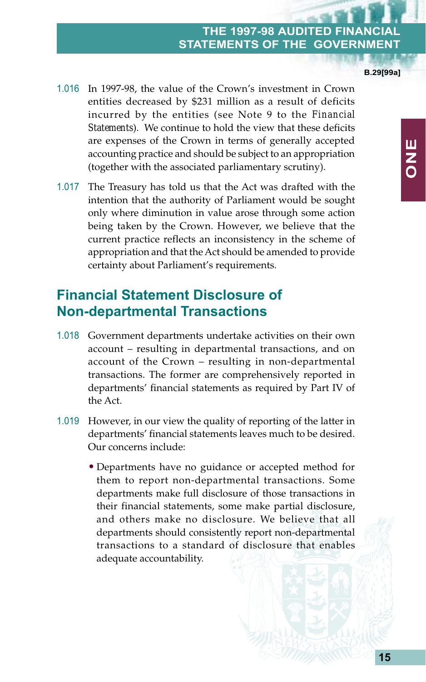1.016 In 1997-98, the value of the Crown's investment in Crown entities decreased by \$231 million as a result of deficits incurred by the entities (see Note 9 to the *Financial Statements*). We continue to hold the view that these deficits are expenses of the Crown in terms of generally accepted accounting practice and should be subject to an appropriation (together with the associated parliamentary scrutiny).

1.017 The Treasury has told us that the Act was drafted with the intention that the authority of Parliament would be sought only where diminution in value arose through some action being taken by the Crown. However, we believe that the current practice reflects an inconsistency in the scheme of appropriation and that the Act should be amended to provide certainty about Parliament's requirements.

### **Financial Statement Disclosure of Non-departmental Transactions**

- 1.018 Government departments undertake activities on their own account – resulting in departmental transactions, and on account of the Crown – resulting in non-departmental transactions. The former are comprehensively reported in departments' financial statements as required by Part IV of the Act.
- 1.019 However, in our view the quality of reporting of the latter in departments' financial statements leaves much to be desired. Our concerns include:
	- Departments have no guidance or accepted method for them to report non-departmental transactions. Some departments make full disclosure of those transactions in their financial statements, some make partial disclosure, and others make no disclosure. We believe that all departments should consistently report non-departmental transactions to a standard of disclosure that enables adequate accountability.

**B.29[99a]**